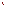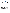## **THE ENVIRONMENTAL TECHNOLOGY VERIFICATION**







# **ETV Joint Verification Statement**

| TECHNOLOGY TYPE: PORTABLE EMISSION ANALYZER |                                                                       |                              |                              |
|---------------------------------------------|-----------------------------------------------------------------------|------------------------------|------------------------------|
| <b>APPLICATION:</b>                         | <b>DETERMINING COMBUSTION EMISSIONS</b>                               |                              |                              |
|                                             | <b>TECHNOLOGY NAME: Model 350 Portable Multigas Emission Analyzer</b> |                              |                              |
| <b>COMPANY:</b>                             | Testo, Inc.                                                           |                              |                              |
| <b>ADDRESS:</b>                             | 35 Ironia Rd.<br><b>Flanders, N.J. 07836</b>                          | <b>PHONE:</b><br><b>FAX:</b> | 973-252-1720<br>973-252-1729 |
| <b>WEB SITE:</b><br>$E\text{-}MAIL$ :       | http://www.testo.com<br>info@testo.com                                |                              |                              |

The U.S. Environmental Protection Agency (EPA) has created the Environmental Technology Verification (ETV) Program to facilitate the deployment of innovative or improved environmental technologies through performance verification and dissemination of information. The goal of the ETV Program is to further environmental protection by substantially accelerating the acceptance and use of improved and cost-effective technologies. ETV seeks to achieve this goal by providing high-quality, peer-reviewed data on technology performance to those involved in the design, distribution, financing, permitting, purchase, and use of environmental technologies.

ETV works in partnership with recognized standards and testing organizations, with stakeholder groups (consisting of buyers, vendor organizations, and permitters), and with individual technology developers. The program evaluates the performance of innovative technologies by developing test plans that are responsive to the needs of stakeholders, conducting field or laboratory tests (as appropriate), collecting and analyzing data, and preparing peer-reviewed reports. All evaluations are conducted in accordance with rigorous quality assurance (QA) protocols to ensure that data of known and adequate quality are generated and that the results are defensible.

The Advanced Monitoring Systems (AMS) Center, one of six technology areas under ETV, is operated by Battelle in cooperation with EPA's National Exposure Research Laboratory. The AMS Center has recently evaluated the performance of portable multigas monitors used to determine emissions from combustion sources. This verification statement provides a summary of the test results for the Testo Model 350 portable multigas emission analyzer.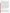#### **VERIFICATION TEST DESCRIPTION**

The verification test was conducted at the Bourns College of Engineering Center for Environmental Research and Technology at the University of California-Riverside. Emissions were sampled from a commercial gas-fired cooktop and a small diesel-fueled engine driving an electrical generator. The reference method for NO, NO<sub>2</sub>, and NO<sub>y</sub> determination was the chemiluminescence method that forms the basis of EPA Method 7E. Measurements were made using a Thermo Environmental Instruments Model 10 source-level NO<sub>x</sub> monitor. The reference method for O<sub>2</sub> determination was an instrumental, paramagnetic pressure sensor method that is consistent with EPA Method 3A. The measurements were made using a Horiba Model CMA-331A Gas Emission Analyzer System. The reference method for CO determination was the cross-modulation non-dispersive infrared method that forms the basis of California Air Resources Board Method 10. The measurements were made using a Horiba Model CMA-331A Gas Emission Analyzer System. The reference method for  $SO<sub>2</sub>$  determination was the ultraviolet fluorescence method that forms the basis of EPA Method 6C. The measurements were made using an API Model 100AH analyzer. All reference method analyzers were located near the combustion sources and were configured to sample from a common intake line, downstream of a sample conditioning system.

Four Model 350s were tested in this verification. Two analyzers were configured to measure  $O_2$ , CO, NO, and  $NO<sub>2</sub>$  with low range sensors for CO and NO. Two analyzers were configured to measure  $O<sub>2</sub>$ , CO, SO<sub>2</sub>, NO, and  $NO<sub>2</sub>$  with high range sensors for CO and NO. The low range analyzers did not have  $SO<sub>2</sub>$  sensors, and the  $O<sub>2</sub>$  and NO<sub>2</sub> sensors in all four analyzers were the same. Initial tests were performed in the laboratory with prepared gas mixtures, then combustion source tests were conducted. Five test days were devoted to laboratory testing and three to source emission testing. Laboratory tests included the linearity of response of each Model 350 analyzer over a range of gas concentrations for each of the analyte gases. The response time of the analyzers was established by monitoring the rise and fall of the Model 350 responses during the linearity tests. Data from zero gas and from additional low gas concentrations were used to establish the detection limits for each Model 350 measurement. Interrupted sampling was assessed after the zero and span checks at the end of the linearity tests, when the electrical power to each Model 350 was turned off for a period of at least 12 hours. The Model 350 analyzers were then powered up, the same zero gas and span concentrations were introduced, and the analyzers' responses were recorded. The effect of potential interferences was tested by delivering test gases containing potential interferants at known concentrations to the Model 350s and monitoring their responses. The ambient temperature test quantified the zero and span drift that occurred as the analyzers were subjected to different temperatures during operation. The pressure sensitivity test quantified the variation in analyzer response and sample flow with changes in pressure in the sample gas source. Combustion source tests included tests for accuracy relative to reference method results, zero and span drift, and measurement stability.

QA oversight of verification testing was provided by Battelle. Battelle QA staff conducted a technical systems audit, a performance evaluation audit, and a data quality audit of 10% of the test data.

#### **TECHNOLOGY DESCRIPTION**

The following description of the Model 350 analyzer was provided by the vendor, and does not represent verified information.

The Model 350 is a self-contained emission analyzer system capable of measuring  $O_2$ , CO, NO, NO<sub>2</sub>, SO<sub>2</sub>, H<sub>2</sub>S, and hydrocarbons in combustion emission sources, while capturing data on pressure, temperature, and flow. Low NO<sub>y</sub> and low CO resolutions are 0.1 part per million (ppm) throughout the range. The Model 350 uses electrochemical sensors that are temperature-controlled to operate over an ambient temperature range of 20ºF to 115ºF and can be calibrated, exchanged, and upgraded in the field without hand tools. An optional CO dilution system permits sample range expansion to over 40:1. The Model 350 weighs less than nine pounds and has an automatic sample conditioning system that includes a Peltier cooler, moisture removal pump, and patented non-heated sample line to provide representative samples from engines, turbines, boilers, burners, and other combustion sources.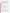The entire system operates independently on nickel metal hydride batteries, or can be connected to AC power (90 to 260 volts, 50 to 60 Hertz). A handheld control unit can operate the analyzer "docked" in the base unit or hundreds to thousands of feet from the base unit. The control unit provides the user with a simple interface and communications. Pulldown menu selections, user-defined function buttons, and/or a computer interface provide access to all operations of the system. Automatic programs for unattended operation facilitate remote, eventdriven, and/or long-term (weeks) testing. An onboard printer provides documentation of test results, while internal data logging of up to 256,000 data points can be programmed. Data retrieval options include an onboard menu system and a computer download procedure; data sets can be stored in files and converted to standard spreadsheets and charts. Internal calculations are performed automatically. The unit provides onscreen information such as  $O_2$  reference corrections (freely selectable),  $CO_2$ , combustion efficiency, excess air, flow, mass-emissions (pounds per hour, etc.), and flue gas loss. The system can be expanded to provide additional measurements for moisture, velocity, temperatures, 4- to 20-milliampere signals, and a variety of other inputs, including simultaneous multibox monitoring.

### **VERIFICATION OF PERFORMANCE**

**Linearity:** The Model 350 analyzers provided a linear response for all the target gases over their full measurement ranges.

**Response time:** Response times ranged from 10 to 20 seconds for NO and 30 to 32 seconds for CO, but were consistently 18 seconds for  $NO_2$ , 20 seconds for  $O_2$ , and 27 seconds for  $SO_2$ .

**Detection limit:** Detection limits estimated from the laboratory testing for the high range analyzers (based on the upper end of the 3-sigma, 95% confidence level) were 1.22 ppm for CO, 1.57 to 1.66 ppm for NO, 0.26 to 0.41 ppm for  $NO_2$ , and 1.24 ppm for  $SO_2$ . Detection limits estimated from the laboratory testing for the low range analyzers were 0.25 ppm for CO and 0.25 to 0.45 ppm for NO. (No detection limit was calculated for  $O_2$ , since the Model 350 analyzers always read 0.0% when sampling nitrogen zero gas.)

**Interference:** A variety of selected interferants generally produced no response on the Model 350 analyzers, and no interferant produced a response as much as 1% of that from an equal concentration of target analyte. Responses to 394 ppm NO were 2.3 to 4.8% low when 400 ppm  $SO_2$  also was present.

**Ambient temperature effect:** Ambient temperature over the range of  $47^{\circ}$ F to  $105^{\circ}$ F had a minimal (< 2% of span concentration) effect on the zero and span readings of the Model 350 analyzers.

**Interrupted sampling:** Zero and span differences caused by interruption of operation were less than 1.0% of the respective span concentrations.

**Pressure sensitivity:** Over the tested range of  $-10$  to  $+10$  inches of water (relative to ambient pressure), the sample gas pressure had no significant effect on the zero or span readings of the Model 350 analyzers.

Accuracy: The relative accuracy (RA) of the Model 350 analyzers was usually within 10% for CO, NO, NO<sub>x</sub>, and  $SO_2$ , and within 1% for  $O_2$ , with the sources tested (two range burner sources, three diesel engine sources). The only exceptions were those conditions where CO and  $NO<sub>2</sub>$  concentrations were below 6 ppm, and in  $NO<sub>2</sub>$ measurements from the diesel engine exhaust when  $NO_2$  was less than 7% of total  $NO_x$ . For the low concentration conditions, the CO and  $NO<sub>2</sub>$  analyzers were accurate to within about 1 ppm. For the  $NO<sub>2</sub>$  measurements from the diesel engine exhaust, RAs ranged from 8% to 55%, and the direct measurement of NO<sub>2</sub> by the Model 350 analyzers produced more consistent readings than did the determination of  $NO<sub>2</sub>$  by difference with the chemiluminescent reference method. Total  $NO<sub>x</sub>$  RAs for the diesel engine tests were all within 7%.